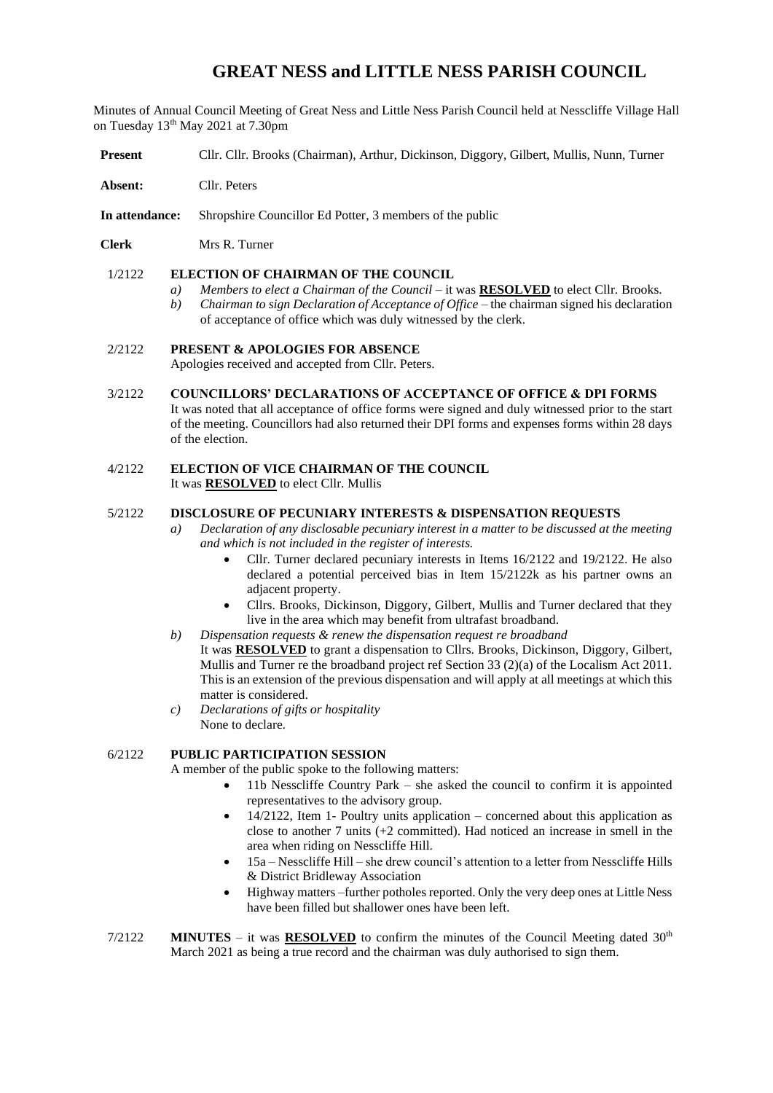# **GREAT NESS and LITTLE NESS PARISH COUNCIL**

Minutes of Annual Council Meeting of Great Ness and Little Ness Parish Council held at Nesscliffe Village Hall on Tuesday 13<sup>th</sup> May 2021 at 7.30pm

- **Present** Cllr. Cllr. Brooks (Chairman), Arthur, Dickinson, Diggory, Gilbert, Mullis, Nunn, Turner
- **Absent:** Cllr. Peters
- **In attendance:** Shropshire Councillor Ed Potter, 3 members of the public
- **Clerk** Mrs R. Turner

#### 1/2122 **ELECTION OF CHAIRMAN OF THE COUNCIL**

- *a) Members to elect a Chairman of the Council* it was **RESOLVED** to elect Cllr. Brooks.
- *b) Chairman to sign Declaration of Acceptance of Office* the chairman signed his declaration of acceptance of office which was duly witnessed by the clerk.

#### 2/2122 **PRESENT & APOLOGIES FOR ABSENCE**

Apologies received and accepted from Cllr. Peters.

3/2122 **COUNCILLORS' DECLARATIONS OF ACCEPTANCE OF OFFICE & DPI FORMS**

It was noted that all acceptance of office forms were signed and duly witnessed prior to the start of the meeting. Councillors had also returned their DPI forms and expenses forms within 28 days of the election.

4/2122 **ELECTION OF VICE CHAIRMAN OF THE COUNCIL** It was **RESOLVED** to elect Cllr. Mullis

#### 5/2122 **DISCLOSURE OF PECUNIARY INTERESTS & DISPENSATION REQUESTS**

- *a) Declaration of any disclosable pecuniary interest in a matter to be discussed at the meeting and which is not included in the register of interests.* 
	- Cllr. Turner declared pecuniary interests in Items 16/2122 and 19/2122. He also declared a potential perceived bias in Item 15/2122k as his partner owns an adjacent property.
	- Cllrs. Brooks, Dickinson, Diggory, Gilbert, Mullis and Turner declared that they live in the area which may benefit from ultrafast broadband.
- *b) Dispensation requests & renew the dispensation request re broadband* It was **RESOLVED** to grant a dispensation to Cllrs. Brooks, Dickinson, Diggory, Gilbert, Mullis and Turner re the broadband project ref Section 33 (2)(a) of the Localism Act 2011. This is an extension of the previous dispensation and will apply at all meetings at which this matter is considered.
- *c) Declarations of gifts or hospitality*  None to declare.

## 6/2122 **PUBLIC PARTICIPATION SESSION**

A member of the public spoke to the following matters:

- 11b Nesscliffe Country Park she asked the council to confirm it is appointed representatives to the advisory group.
- $14/2122$ , Item 1- Poultry units application concerned about this application as close to another 7 units (+2 committed). Had noticed an increase in smell in the area when riding on Nesscliffe Hill.
- 15a Nesscliffe Hill she drew council's attention to a letter from Nesscliffe Hills & District Bridleway Association
- Highway matters –further potholes reported. Only the very deep ones at Little Ness have been filled but shallower ones have been left.
- $7/2122$  **MINUTES** it was **RESOLVED** to confirm the minutes of the Council Meeting dated  $30<sup>th</sup>$ March 2021 as being a true record and the chairman was duly authorised to sign them.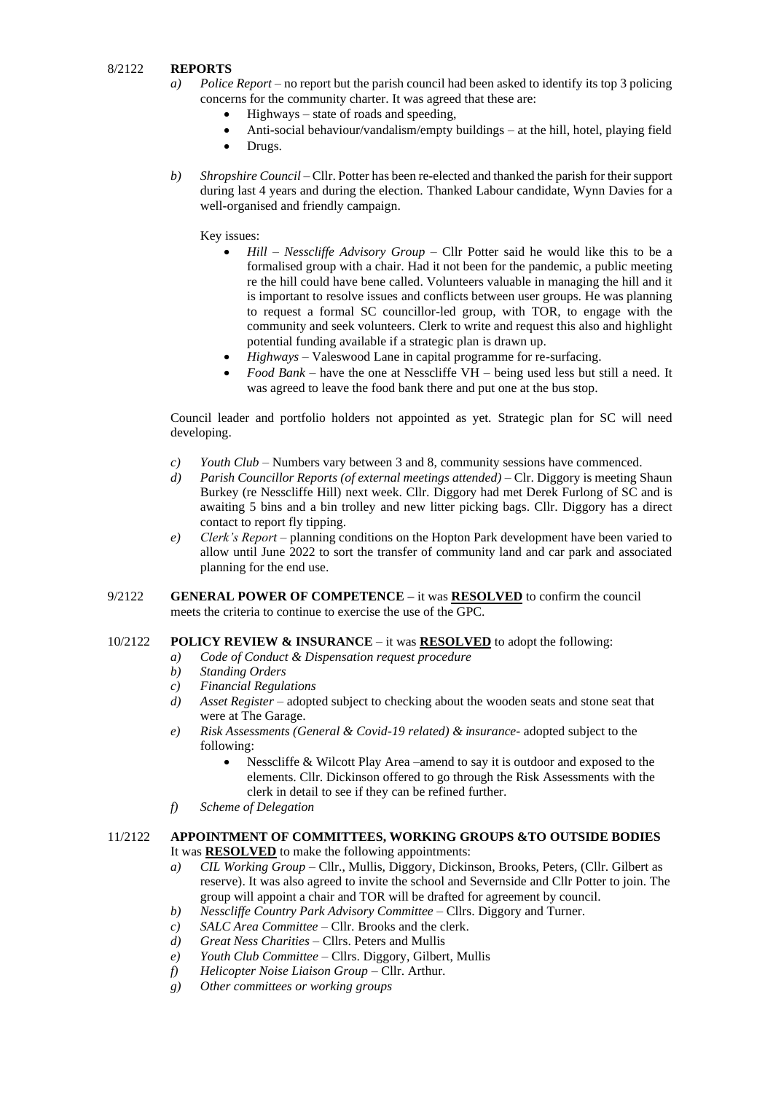## 8/2122 **REPORTS**

- *a) Police Report –* no report but the parish council had been asked to identify its top 3 policing concerns for the community charter. It was agreed that these are:
	- $Highways state of roads and speeding,$
	- Anti-social behaviour/vandalism/empty buildings at the hill, hotel, playing field
	- Drugs.
- *b) Shropshire Council*  Cllr. Potter has been re-elected and thanked the parish for their support during last 4 years and during the election. Thanked Labour candidate, Wynn Davies for a well-organised and friendly campaign.

## Key issues:

- *Hill – Nesscliffe Advisory Group –* Cllr Potter said he would like this to be a formalised group with a chair. Had it not been for the pandemic, a public meeting re the hill could have bene called. Volunteers valuable in managing the hill and it is important to resolve issues and conflicts between user groups. He was planning to request a formal SC councillor-led group, with TOR, to engage with the community and seek volunteers. Clerk to write and request this also and highlight potential funding available if a strategic plan is drawn up.
- *Highways –* Valeswood Lane in capital programme for re-surfacing.
- *Food Bank –* have the one at Nesscliffe VH being used less but still a need. It was agreed to leave the food bank there and put one at the bus stop.

Council leader and portfolio holders not appointed as yet. Strategic plan for SC will need developing.

- *c) Youth Club*  Numbers vary between 3 and 8, community sessions have commenced.
- *d) Parish Councillor Reports (of external meetings attended)* Clr. Diggory is meeting Shaun Burkey (re Nesscliffe Hill) next week. Cllr. Diggory had met Derek Furlong of SC and is awaiting 5 bins and a bin trolley and new litter picking bags. Cllr. Diggory has a direct contact to report fly tipping.
- *e) Clerk's Report* planning conditions on the Hopton Park development have been varied to allow until June 2022 to sort the transfer of community land and car park and associated planning for the end use.
- 9/2122 **GENERAL POWER OF COMPETENCE –** it was **RESOLVED** to confirm the council meets the criteria to continue to exercise the use of the GPC.

#### 10/2122 **POLICY REVIEW & INSURANCE** – it was **RESOLVED** to adopt the following:

- *a) Code of Conduct & Dispensation request procedure*
- *b) Standing Orders*
- *c) Financial Regulations*
- *d) Asset Register* adopted subject to checking about the wooden seats and stone seat that were at The Garage.
- *e) Risk Assessments (General & Covid-19 related) & insurance* adopted subject to the following:
	- Nesscliffe & Wilcott Play Area –amend to say it is outdoor and exposed to the elements. Cllr. Dickinson offered to go through the Risk Assessments with the clerk in detail to see if they can be refined further.
- *f) Scheme of Delegation*

#### 11/2122 **APPOINTMENT OF COMMITTEES, WORKING GROUPS &TO OUTSIDE BODIES** It was **RESOLVED** to make the following appointments:

- *a) CIL Working Group* Cllr., Mullis, Diggory, Dickinson, Brooks, Peters, (Cllr. Gilbert as reserve). It was also agreed to invite the school and Severnside and Cllr Potter to join. The group will appoint a chair and TOR will be drafted for agreement by council.
- *b) Nesscliffe Country Park Advisory Committee* Cllrs. Diggory and Turner.
- *c) SALC Area Committee* Cllr. Brooks and the clerk.
- *d) Great Ness Charities* Cllrs. Peters and Mullis
- *e) Youth Club Committee* Cllrs. Diggory, Gilbert, Mullis
- *f) Helicopter Noise Liaison Group* Cllr. Arthur.
- *g) Other committees or working groups*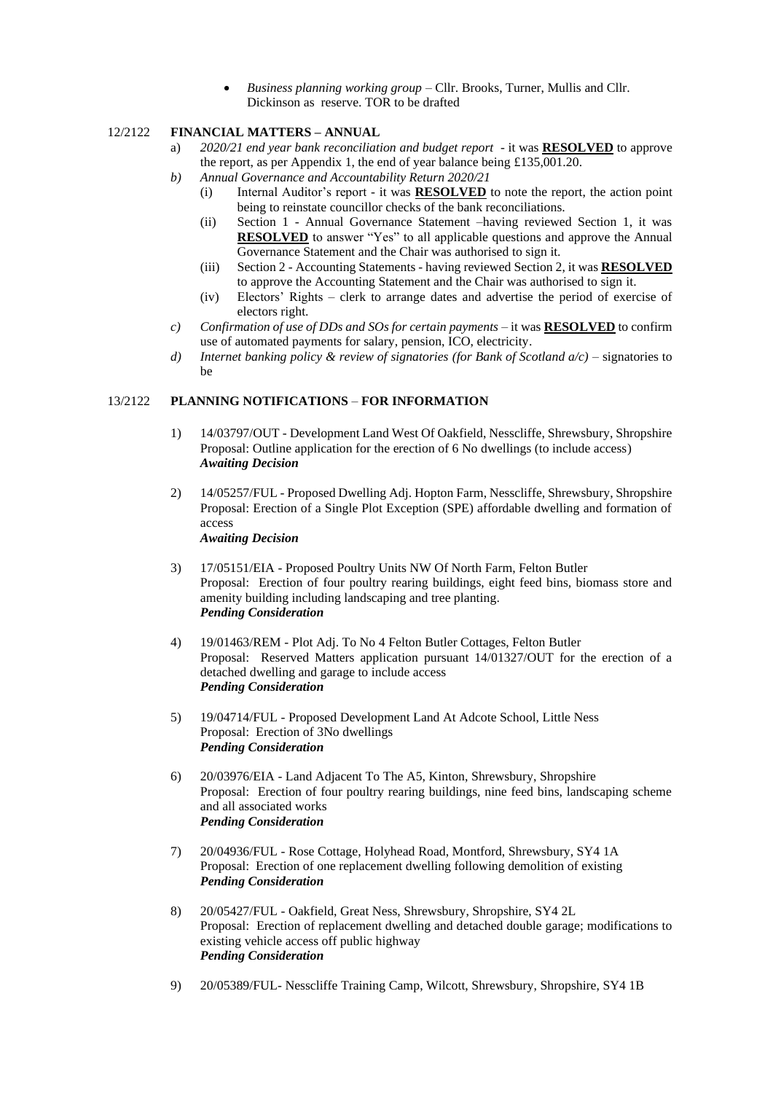• *Business planning working group –* Cllr. Brooks, Turner, Mullis and Cllr. Dickinson as reserve. TOR to be drafted

## 12/2122 **FINANCIAL MATTERS – ANNUAL**

- a) *2020/21 end year bank reconciliation and budget report* it was **RESOLVED** to approve the report, as per Appendix 1, the end of year balance being £135,001.20.
- *b) Annual Governance and Accountability Return 2020/21* 
	- (i) Internal Auditor's report it was **RESOLVED** to note the report, the action point being to reinstate councillor checks of the bank reconciliations.
	- (ii) Section 1 Annual Governance Statement –having reviewed Section 1, it was **RESOLVED** to answer "Yes" to all applicable questions and approve the Annual Governance Statement and the Chair was authorised to sign it.
	- (iii) Section 2 Accounting Statements having reviewed Section 2, it was **RESOLVED** to approve the Accounting Statement and the Chair was authorised to sign it.
	- (iv) Electors' Rights clerk to arrange dates and advertise the period of exercise of electors right.
- *c) Confirmation of use of DDs and SOs for certain payments* it was **RESOLVED** to confirm use of automated payments for salary, pension, ICO, electricity.
- *d) Internet banking policy & review of signatories (for Bank of Scotland a/c)* signatories to be

#### 13/2122 **PLANNING NOTIFICATIONS** – **FOR INFORMATION**

- 1) 14/03797/OUT Development Land West Of Oakfield, Nesscliffe, Shrewsbury, Shropshire Proposal: Outline application for the erection of 6 No dwellings (to include access) *Awaiting Decision*
- 2) 14/05257/FUL Proposed Dwelling Adj. Hopton Farm, Nesscliffe, Shrewsbury, Shropshire Proposal: Erection of a Single Plot Exception (SPE) affordable dwelling and formation of access *Awaiting Decision*
- 3) 17/05151/EIA Proposed Poultry Units NW Of North Farm, Felton Butler Proposal: Erection of four poultry rearing buildings, eight feed bins, biomass store and amenity building including landscaping and tree planting. *Pending Consideration*
- 4) 19/01463/REM Plot Adj. To No 4 Felton Butler Cottages, Felton Butler Proposal: Reserved Matters application pursuant 14/01327/OUT for the erection of a detached dwelling and garage to include access *Pending Consideration*
- 5) 19/04714/FUL Proposed Development Land At Adcote School, Little Ness Proposal: Erection of 3No dwellings *Pending Consideration*
- 6) 20/03976/EIA Land Adjacent To The A5, Kinton, Shrewsbury, Shropshire Proposal: Erection of four poultry rearing buildings, nine feed bins, landscaping scheme and all associated works *Pending Consideration*
- 7) 20/04936/FUL Rose Cottage, Holyhead Road, Montford, Shrewsbury, SY4 1A Proposal: Erection of one replacement dwelling following demolition of existing *Pending Consideration*
- 8) 20/05427/FUL Oakfield, Great Ness, Shrewsbury, Shropshire, SY4 2L Proposal: Erection of replacement dwelling and detached double garage; modifications to existing vehicle access off public highway *Pending Consideration*
- 9) 20/05389/FUL- Nesscliffe Training Camp, Wilcott, Shrewsbury, Shropshire, SY4 1B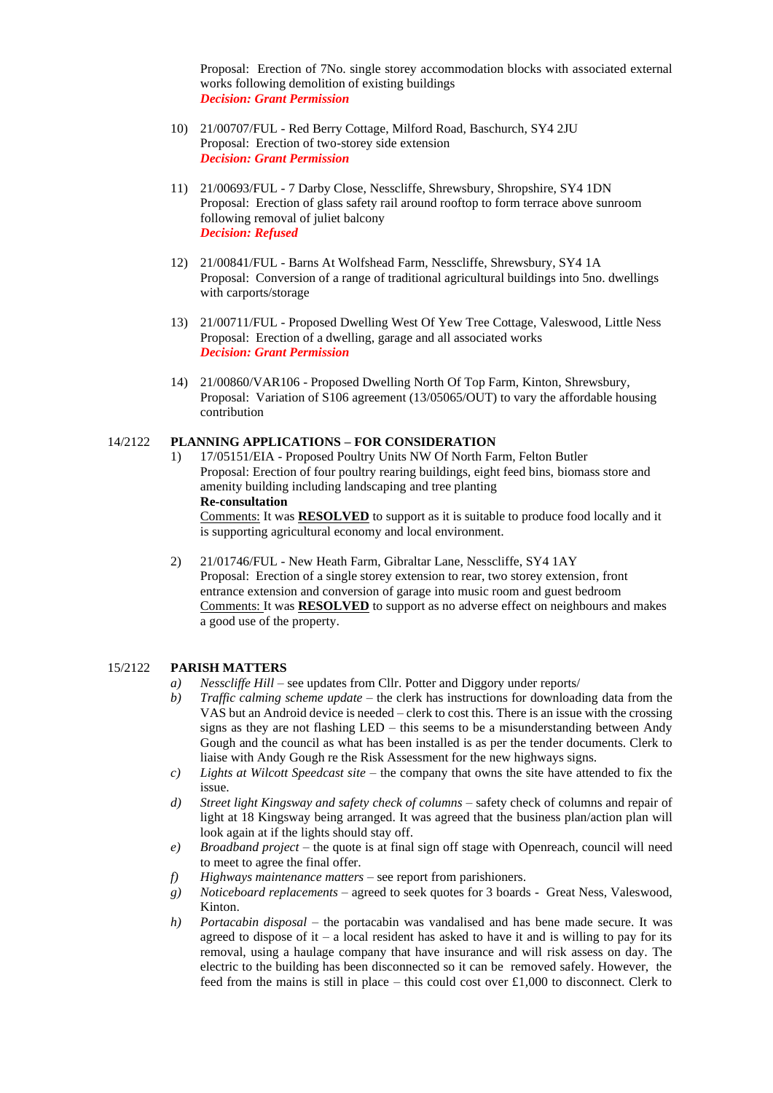Proposal: Erection of 7No. single storey accommodation blocks with associated external works following demolition of existing buildings *Decision: Grant Permission*

- 10) 21/00707/FUL Red Berry Cottage, Milford Road, Baschurch, SY4 2JU Proposal: Erection of two-storey side extension *Decision: Grant Permission*
- 11) 21/00693/FUL 7 Darby Close, Nesscliffe, Shrewsbury, Shropshire, SY4 1DN Proposal: Erection of glass safety rail around rooftop to form terrace above sunroom following removal of juliet balcony *Decision: Refused*
- 12) 21/00841/FUL Barns At Wolfshead Farm, Nesscliffe, Shrewsbury, SY4 1A Proposal: Conversion of a range of traditional agricultural buildings into 5no. dwellings with carports/storage
- 13) 21/00711/FUL Proposed Dwelling West Of Yew Tree Cottage, Valeswood, Little Ness Proposal: Erection of a dwelling, garage and all associated works *Decision: Grant Permission*
- 14) 21/00860/VAR106 Proposed Dwelling North Of Top Farm, Kinton, Shrewsbury, Proposal: Variation of S106 agreement (13/05065/OUT) to vary the affordable housing contribution

#### 14/2122 **PLANNING APPLICATIONS – FOR CONSIDERATION**

1) 17/05151/EIA - Proposed Poultry Units NW Of North Farm, Felton Butler Proposal: Erection of four poultry rearing buildings, eight feed bins, biomass store and amenity building including landscaping and tree planting **Re-consultation**

Comments: It was **RESOLVED** to support as it is suitable to produce food locally and it is supporting agricultural economy and local environment.

2) 21/01746/FUL - New Heath Farm, Gibraltar Lane, Nesscliffe, SY4 1AY Proposal: Erection of a single storey extension to rear, two storey extension, front entrance extension and conversion of garage into music room and guest bedroom Comments: It was **RESOLVED** to support as no adverse effect on neighbours and makes a good use of the property.

#### 15/2122 **PARISH MATTERS**

- *a) Nesscliffe Hill* see updates from Cllr. Potter and Diggory under reports/
- *b) Traffic calming scheme update* the clerk has instructions for downloading data from the VAS but an Android device is needed – clerk to cost this. There is an issue with the crossing signs as they are not flashing LED – this seems to be a misunderstanding between Andy Gough and the council as what has been installed is as per the tender documents. Clerk to liaise with Andy Gough re the Risk Assessment for the new highways signs.
- *c) Lights at Wilcott Speedcast site –* the company that owns the site have attended to fix the issue.
- *d) Street light Kingsway and safety check of columns –* safety check of columns and repair of light at 18 Kingsway being arranged. It was agreed that the business plan/action plan will look again at if the lights should stay off.
- *e) Broadband project –* the quote is at final sign off stage with Openreach, council will need to meet to agree the final offer.
- *f) Highways maintenance matters* see report from parishioners.
- *g) Noticeboard replacements* agreed to seek quotes for 3 boards Great Ness, Valeswood, Kinton.
- *h) Portacabin disposal* the portacabin was vandalised and has bene made secure. It was agreed to dispose of it – a local resident has asked to have it and is willing to pay for its removal, using a haulage company that have insurance and will risk assess on day. The electric to the building has been disconnected so it can be removed safely. However, the feed from the mains is still in place – this could cost over £1,000 to disconnect. Clerk to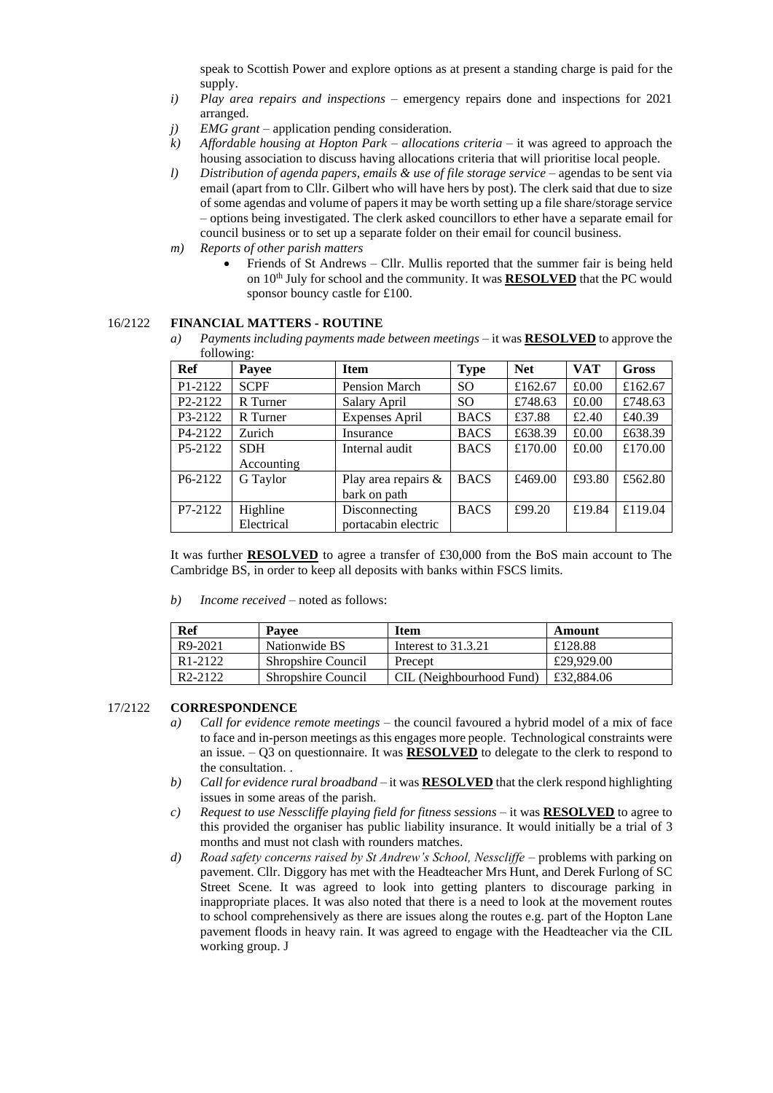speak to Scottish Power and explore options as at present a standing charge is paid for the supply.

- *i) Play area repairs and inspections* emergency repairs done and inspections for 2021 arranged.
- *j) EMG grant* application pending consideration.
- *k) Affordable housing at Hopton Park – allocations criteria* it was agreed to approach the housing association to discuss having allocations criteria that will prioritise local people.
- *l) Distribution of agenda papers, emails & use of file storage service* agendas to be sent via email (apart from to Cllr. Gilbert who will have hers by post). The clerk said that due to size of some agendas and volume of papers it may be worth setting up a file share/storage service – options being investigated. The clerk asked councillors to ether have a separate email for council business or to set up a separate folder on their email for council business.
- *m) Reports of other parish matters* 
	- Friends of St Andrews Cllr. Mullis reported that the summer fair is being held on 10th July for school and the community. It was **RESOLVED** that the PC would sponsor bouncy castle for £100.

#### 16/2122 **FINANCIAL MATTERS - ROUTINE**

*a) Payments including payments made between meetings* – it was **RESOLVED** to approve the following:

| Ref                              | Payee       | <b>Item</b>          | <b>Type</b> | <b>Net</b> | <b>VAT</b> | <b>Gross</b> |
|----------------------------------|-------------|----------------------|-------------|------------|------------|--------------|
| P1-2122                          | <b>SCPF</b> | <b>Pension March</b> | SO.         | £162.67    | £0.00      | £162.67      |
| P <sub>2</sub> -212 <sub>2</sub> | R Turner    | Salary April         | SO.         | £748.63    | £0.00      | £748.63      |
| P3-2122                          | R Turner    | Expenses April       | <b>BACS</b> | £37.88     | £2.40      | £40.39       |
| P4-2122                          | Zurich      | Insurance            | <b>BACS</b> | £638.39    | £0.00      | £638.39      |
| P5-2122                          | <b>SDH</b>  | Internal audit       | <b>BACS</b> | £170.00    | £0.00      | £170.00      |
|                                  | Accounting  |                      |             |            |            |              |
| P6-2122                          | G Taylor    | Play area repairs &  | <b>BACS</b> | £469.00    | £93.80     | £562.80      |
|                                  |             | bark on path         |             |            |            |              |
| P7-2122                          | Highline    | Disconnecting        | <b>BACS</b> | £99.20     | £19.84     | £119.04      |
|                                  | Electrical  | portacabin electric  |             |            |            |              |

It was further **RESOLVED** to agree a transfer of £30,000 from the BoS main account to The Cambridge BS, in order to keep all deposits with banks within FSCS limits.

*b) Income received* – noted as follows:

| <b>Ref</b>           | <b>Pavee</b>              | Item                     | Amount     |
|----------------------|---------------------------|--------------------------|------------|
| R9-2021              | Nationwide BS             | Interest to 31.3.21      | £128.88    |
| R <sub>1</sub> -2122 | <b>Shropshire Council</b> | Precept                  | £29,929.00 |
| R <sub>2</sub> -2122 | <b>Shropshire Council</b> | CIL (Neighbourhood Fund) | £32,884.06 |

## 17/2122 **CORRESPONDENCE**

- *a) Call for evidence remote meetings –* the council favoured a hybrid model of a mix of face to face and in-person meetings as this engages more people. Technological constraints were an issue.  $-Q3$  on questionnaire. It was **RESOLVED** to delegate to the clerk to respond to the consultation. .
- *b) Call for evidence rural broadband –* it was **RESOLVED** that the clerk respond highlighting issues in some areas of the parish.
- *c) Request to use Nesscliffe playing field for fitness sessions* it was **RESOLVED** to agree to this provided the organiser has public liability insurance. It would initially be a trial of 3 months and must not clash with rounders matches.
- *d) Road safety concerns raised by St Andrew's School, Nesscliffe* problems with parking on pavement. Cllr. Diggory has met with the Headteacher Mrs Hunt, and Derek Furlong of SC Street Scene. It was agreed to look into getting planters to discourage parking in inappropriate places. It was also noted that there is a need to look at the movement routes to school comprehensively as there are issues along the routes e.g. part of the Hopton Lane pavement floods in heavy rain. It was agreed to engage with the Headteacher via the CIL working group. J